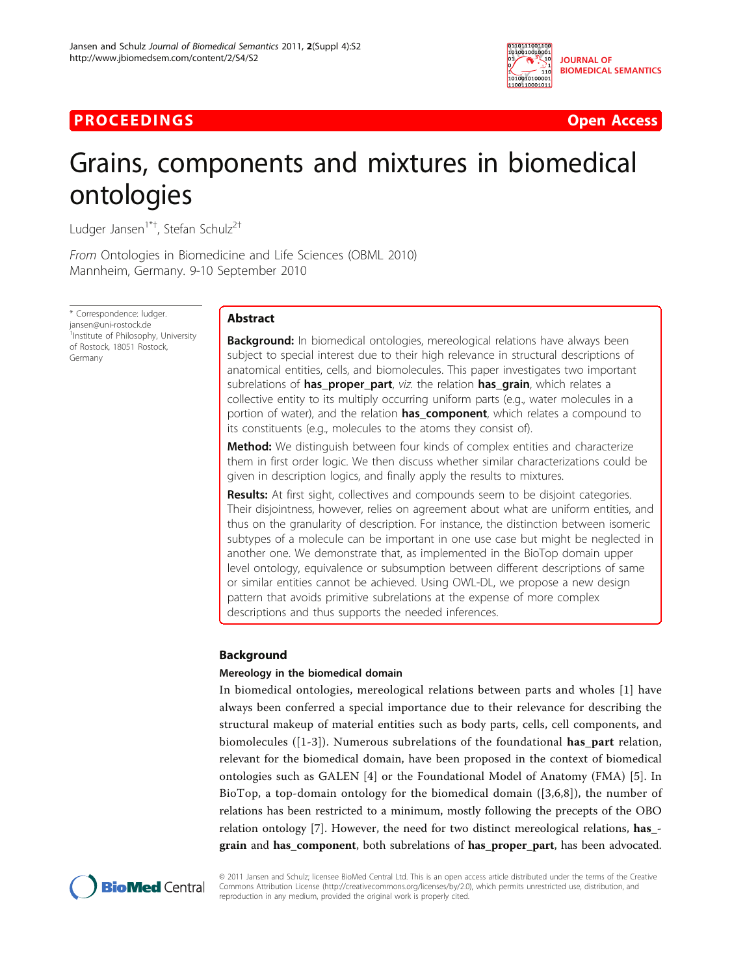

## PROC E EDING S Open Access

# Grains, components and mixtures in biomedical ontologies

Ludger Jansen<sup>1\*†</sup>, Stefan Schulz<sup>2†</sup>

From Ontologies in Biomedicine and Life Sciences (OBML 2010) Mannheim, Germany. 9-10 September 2010

\* Correspondence: [ludger.](mailto:ludger.jansen@uni-rostock.de) [jansen@uni-rostock.de](mailto:ludger.jansen@uni-rostock.de) <sup>1</sup>Institute of Philosophy, University of Rostock, 18051 Rostock, Germany

## **Abstract**

**Background:** In biomedical ontologies, mereological relations have always been subject to special interest due to their high relevance in structural descriptions of anatomical entities, cells, and biomolecules. This paper investigates two important subrelations of has\_proper\_part, viz. the relation has\_grain, which relates a collective entity to its multiply occurring uniform parts (e.g., water molecules in a portion of water), and the relation **has\_component**, which relates a compound to its constituents (e.g., molecules to the atoms they consist of).

**Method:** We distinguish between four kinds of complex entities and characterize them in first order logic. We then discuss whether similar characterizations could be given in description logics, and finally apply the results to mixtures.

Results: At first sight, collectives and compounds seem to be disjoint categories. Their disjointness, however, relies on agreement about what are uniform entities, and thus on the granularity of description. For instance, the distinction between isomeric subtypes of a molecule can be important in one use case but might be neglected in another one. We demonstrate that, as implemented in the BioTop domain upper level ontology, equivalence or subsumption between different descriptions of same or similar entities cannot be achieved. Using OWL-DL, we propose a new design pattern that avoids primitive subrelations at the expense of more complex descriptions and thus supports the needed inferences.

## Background

## Mereology in the biomedical domain

In biomedical ontologies, mereological relations between parts and wholes [\[1\]](#page-12-0) have always been conferred a special importance due to their relevance for describing the structural makeup of material entities such as body parts, cells, cell components, and biomolecules ( $[1-3]$  $[1-3]$ ). Numerous subrelations of the foundational has\_part relation, relevant for the biomedical domain, have been proposed in the context of biomedical ontologies such as GALEN [[4](#page-12-0)] or the Foundational Model of Anatomy (FMA) [[5\]](#page-12-0). In BioTop, a top-domain ontology for the biomedical domain ([[3,6](#page-12-0),[8\]](#page-12-0)), the number of relations has been restricted to a minimum, mostly following the precepts of the OBO relation ontology [[7\]](#page-12-0). However, the need for two distinct mereological relations, has\_ grain and has\_component, both subrelations of has\_proper\_part, has been advocated.



© 2011 Jansen and Schulz; licensee BioMed Central Ltd. This is an open access article distributed under the terms of the Creative Commons Attribution License [\(http://creativecommons.org/licenses/by/2.0](http://creativecommons.org/licenses/by/2.0)), which permits unrestricted use, distribution, and reproduction in any medium, provided the original work is properly cited.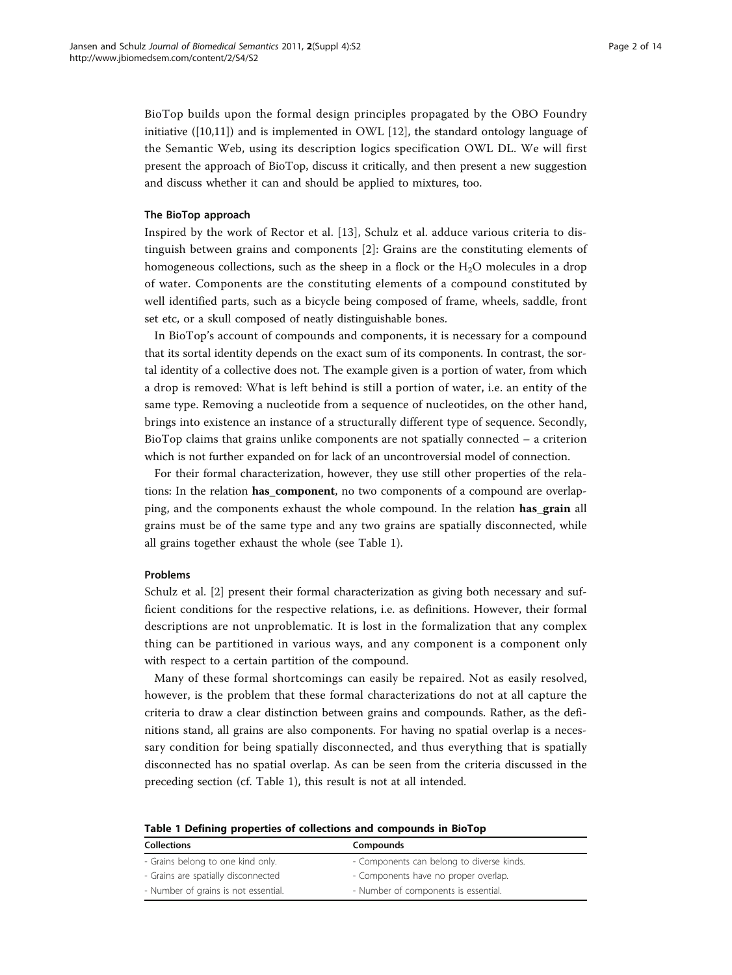<span id="page-1-0"></span>BioTop builds upon the formal design principles propagated by the OBO Foundry initiative ([\[10,11](#page-12-0)]) and is implemented in OWL [\[12\]](#page-12-0), the standard ontology language of the Semantic Web, using its description logics specification OWL DL. We will first present the approach of BioTop, discuss it critically, and then present a new suggestion and discuss whether it can and should be applied to mixtures, too.

## The BioTop approach

Inspired by the work of Rector et al. [\[13](#page-12-0)], Schulz et al. adduce various criteria to distinguish between grains and components [[2\]](#page-12-0): Grains are the constituting elements of homogeneous collections, such as the sheep in a flock or the  $H_2O$  molecules in a drop of water. Components are the constituting elements of a compound constituted by well identified parts, such as a bicycle being composed of frame, wheels, saddle, front set etc, or a skull composed of neatly distinguishable bones.

In BioTop's account of compounds and components, it is necessary for a compound that its sortal identity depends on the exact sum of its components. In contrast, the sortal identity of a collective does not. The example given is a portion of water, from which a drop is removed: What is left behind is still a portion of water, i.e. an entity of the same type. Removing a nucleotide from a sequence of nucleotides, on the other hand, brings into existence an instance of a structurally different type of sequence. Secondly, BioTop claims that grains unlike components are not spatially connected – a criterion which is not further expanded on for lack of an uncontroversial model of connection.

For their formal characterization, however, they use still other properties of the relations: In the relation has\_component, no two components of a compound are overlapping, and the components exhaust the whole compound. In the relation has grain all grains must be of the same type and any two grains are spatially disconnected, while all grains together exhaust the whole (see Table 1).

#### Problems

Schulz et al. [\[2](#page-12-0)] present their formal characterization as giving both necessary and sufficient conditions for the respective relations, i.e. as definitions. However, their formal descriptions are not unproblematic. It is lost in the formalization that any complex thing can be partitioned in various ways, and any component is a component only with respect to a certain partition of the compound.

Many of these formal shortcomings can easily be repaired. Not as easily resolved, however, is the problem that these formal characterizations do not at all capture the criteria to draw a clear distinction between grains and compounds. Rather, as the definitions stand, all grains are also components. For having no spatial overlap is a necessary condition for being spatially disconnected, and thus everything that is spatially disconnected has no spatial overlap. As can be seen from the criteria discussed in the preceding section (cf. Table 1), this result is not at all intended.

| Table 1 Defining properties of collections and compounds in BioTop |  |  |  |
|--------------------------------------------------------------------|--|--|--|
|--------------------------------------------------------------------|--|--|--|

| <b>Collections</b>                   | Compounds                                 |
|--------------------------------------|-------------------------------------------|
| - Grains belong to one kind only.    | - Components can belong to diverse kinds. |
| - Grains are spatially disconnected  | - Components have no proper overlap.      |
| - Number of grains is not essential. | - Number of components is essential.      |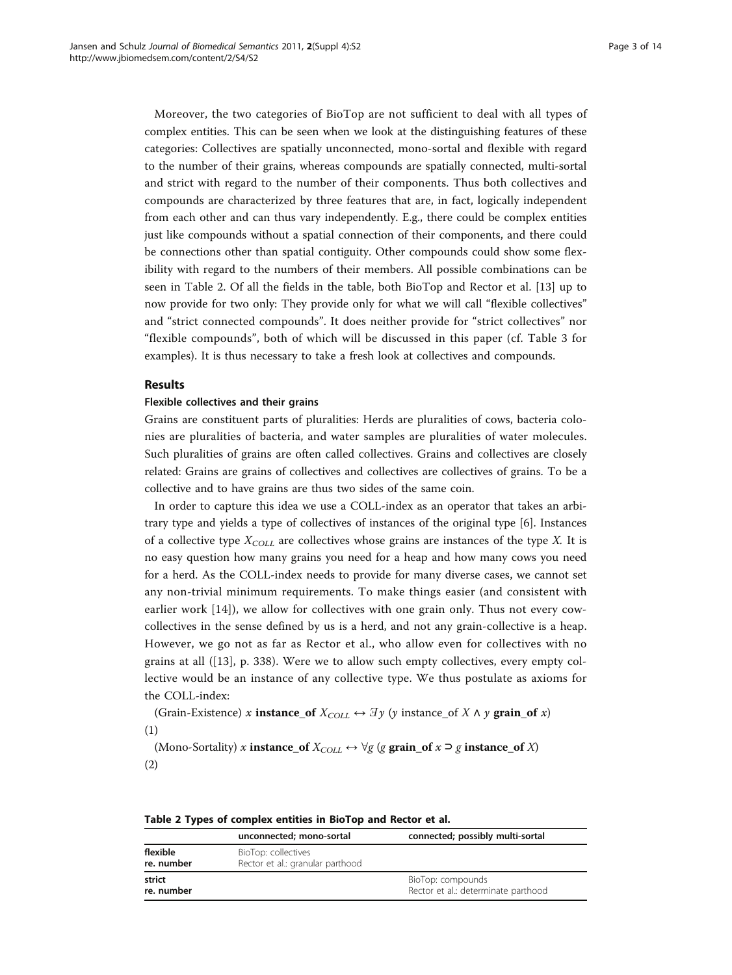Moreover, the two categories of BioTop are not sufficient to deal with all types of complex entities. This can be seen when we look at the distinguishing features of these categories: Collectives are spatially unconnected, mono-sortal and flexible with regard to the number of their grains, whereas compounds are spatially connected, multi-sortal and strict with regard to the number of their components. Thus both collectives and compounds are characterized by three features that are, in fact, logically independent from each other and can thus vary independently. E.g., there could be complex entities just like compounds without a spatial connection of their components, and there could be connections other than spatial contiguity. Other compounds could show some flexibility with regard to the numbers of their members. All possible combinations can be seen in Table 2. Of all the fields in the table, both BioTop and Rector et al. [\[13\]](#page-12-0) up to now provide for two only: They provide only for what we will call "flexible collectives" and "strict connected compounds". It does neither provide for "strict collectives" nor "flexible compounds", both of which will be discussed in this paper (cf. Table [3](#page-3-0) for examples). It is thus necessary to take a fresh look at collectives and compounds.

## Results

#### Flexible collectives and their grains

Grains are constituent parts of pluralities: Herds are pluralities of cows, bacteria colonies are pluralities of bacteria, and water samples are pluralities of water molecules. Such pluralities of grains are often called collectives. Grains and collectives are closely related: Grains are grains of collectives and collectives are collectives of grains. To be a collective and to have grains are thus two sides of the same coin.

In order to capture this idea we use a COLL-index as an operator that takes an arbitrary type and yields a type of collectives of instances of the original type [\[6](#page-12-0)]. Instances of a collective type  $X_{COLL}$  are collectives whose grains are instances of the type X. It is no easy question how many grains you need for a heap and how many cows you need for a herd. As the COLL-index needs to provide for many diverse cases, we cannot set any non-trivial minimum requirements. To make things easier (and consistent with earlier work [\[14](#page-12-0)]), we allow for collectives with one grain only. Thus not every cowcollectives in the sense defined by us is a herd, and not any grain-collective is a heap. However, we go not as far as Rector et al., who allow even for collectives with no grains at all ([[13\]](#page-12-0), p. 338). Were we to allow such empty collectives, every empty collective would be an instance of any collective type. We thus postulate as axioms for the COLL-index:

(Grain-Existence) x **instance\_of**  $X_{COLL} \leftrightarrow \exists y$  (y instance\_of  $X \wedge y$  grain\_of x) (1)

(Mono-Sortality) x instance\_of  $X_{COLL} \leftrightarrow \forall g$  (g grain\_of  $x \supset g$  instance\_of X) (2)

|                        | unconnected; mono-sortal                                | connected; possibly multi-sortal                         |
|------------------------|---------------------------------------------------------|----------------------------------------------------------|
| flexible<br>re. number | BioTop: collectives<br>Rector et al.: granular parthood |                                                          |
| strict<br>re. number   |                                                         | BioTop: compounds<br>Rector et al.: determinate parthood |

Table 2 Types of complex entities in BioTop and Rector et al.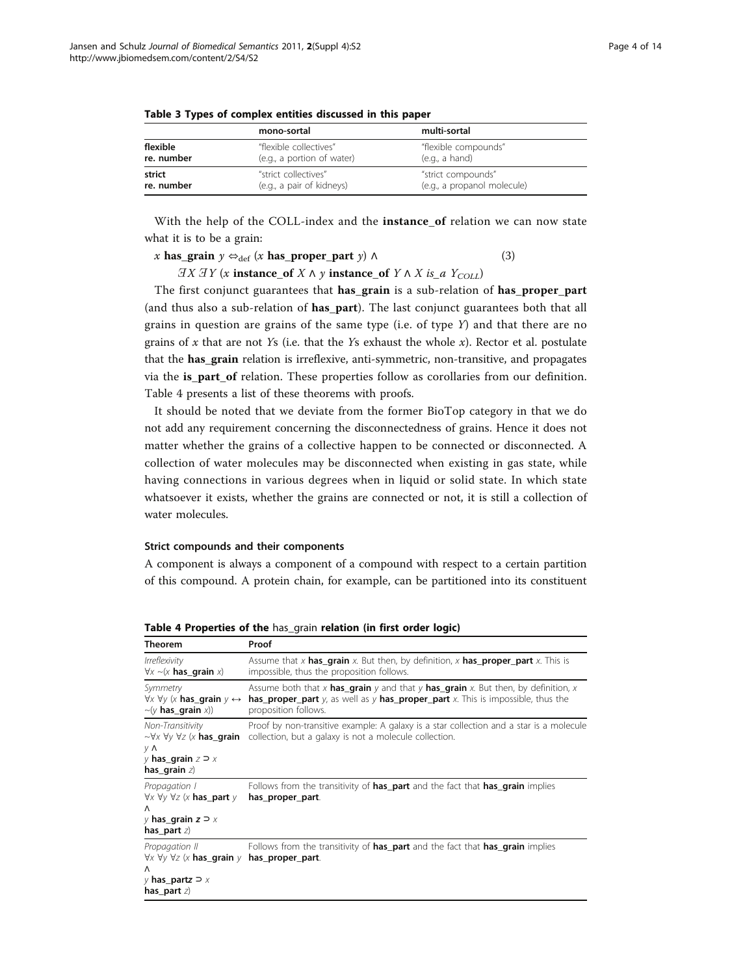|            | mono-sortal                | multi-sortal                |
|------------|----------------------------|-----------------------------|
| flexible   | "flexible collectives"     | "flexible compounds"        |
| re. number | (e.g., a portion of water) | (e.q., a hand)              |
| strict     | "strict collectives"       | "strict compounds"          |
| re. number | (e.g., a pair of kidneys)  | (e.g., a propanol molecule) |

<span id="page-3-0"></span>Table 3 Types of complex entities discussed in this paper

With the help of the COLL-index and the **instance\_of** relation we can now state what it is to be a grain:

x has\_grain  $y \Leftrightarrow_{def} (x \text{ has\_proper\_part } y) \wedge$  (3)

 $\overline{H}X \overline{H}Y$  (x instance\_of  $X \wedge y$  instance\_of  $Y \wedge X$  is\_a  $Y_{COLL}$ )

The first conjunct guarantees that has\_grain is a sub-relation of has\_proper\_part (and thus also a sub-relation of **has\_part**). The last conjunct guarantees both that all grains in question are grains of the same type (i.e. of type  $Y$ ) and that there are no grains of x that are not Ys (i.e. that the Ys exhaust the whole  $x$ ). Rector et al. postulate that the has\_grain relation is irreflexive, anti-symmetric, non-transitive, and propagates via the **is\_part\_of** relation. These properties follow as corollaries from our definition. Table 4 presents a list of these theorems with proofs.

It should be noted that we deviate from the former BioTop category in that we do not add any requirement concerning the disconnectedness of grains. Hence it does not matter whether the grains of a collective happen to be connected or disconnected. A collection of water molecules may be disconnected when existing in gas state, while having connections in various degrees when in liquid or solid state. In which state whatsoever it exists, whether the grains are connected or not, it is still a collection of water molecules.

#### Strict compounds and their components

A component is always a component of a compound with respect to a certain partition of this compound. A protein chain, for example, can be partitioned into its constituent

| Theorem                                                                                                                                          | Proof                                                                                                                                                                                                      |
|--------------------------------------------------------------------------------------------------------------------------------------------------|------------------------------------------------------------------------------------------------------------------------------------------------------------------------------------------------------------|
| Irreflexivity<br>$\forall x \sim (x \text{ has\_grain } x)$                                                                                      | Assume that x <b>has_grain</b> x. But then, by definition, x <b>has_proper_part</b> x. This is<br>impossible, thus the proposition follows.                                                                |
| Symmetry<br>$\forall x \forall y$ (x has_grain y $\leftrightarrow$<br>$\sim(y$ has grain $x)$ )                                                  | Assume both that x <b>has_grain</b> y and that y <b>has_grain</b> x. But then, by definition, x<br>has_proper_part y, as well as y has_proper_part x. This is impossible, thus the<br>proposition follows. |
| Non-Transitivity<br>$\sim \forall x \; \forall y \; \forall z \; (x \; \text{has\_grain})$<br>уΛ<br>y has_grain $z \supset x$<br>has_grain $z$ ) | Proof by non-transitive example: A galaxy is a star collection and a star is a molecule<br>collection, but a galaxy is not a molecule collection.                                                          |
| Propagation 1<br>$\forall x \forall y \forall z (x \text{ has part } y)$<br>Λ<br>y <b>has_grain <math>z \supset x</math></b><br>has_part $z$ )   | Follows from the transitivity of <b>has_part</b> and the fact that <b>has_grain</b> implies<br>has_proper_part.                                                                                            |
| Propagation II<br>$\forall x \forall y \forall z (x$ has grain y<br>Λ<br>y has_partz $\supset x$<br>has_part $z$ )                               | Follows from the transitivity of <b>has_part</b> and the fact that <b>has_grain</b> implies<br>has_proper_part.                                                                                            |

Table 4 Properties of the has\_grain relation (in first order logic)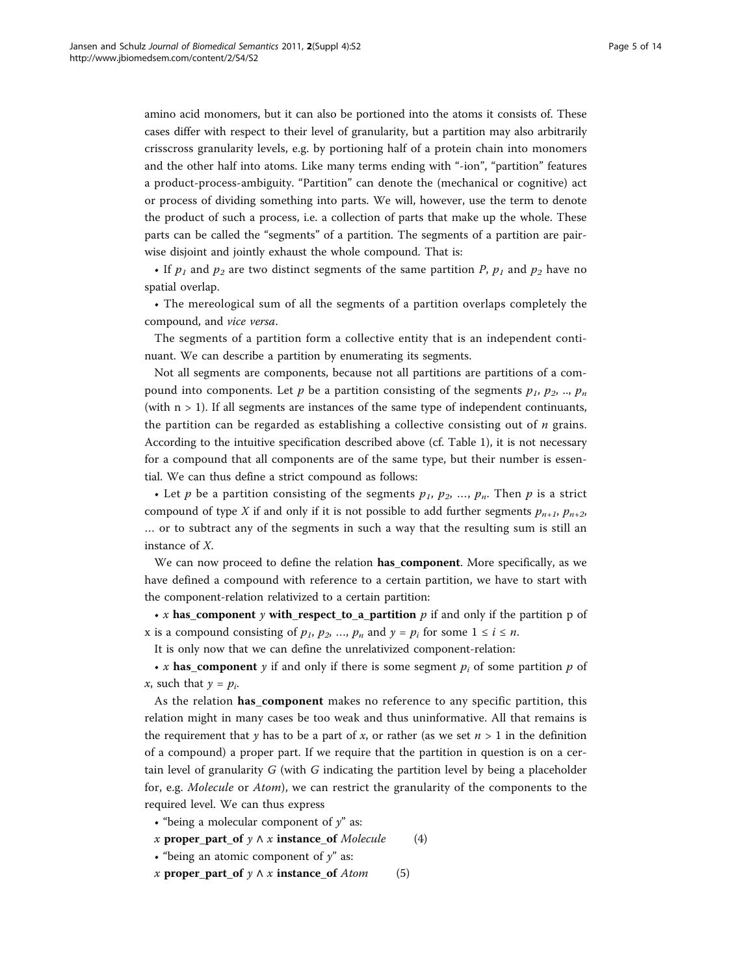amino acid monomers, but it can also be portioned into the atoms it consists of. These cases differ with respect to their level of granularity, but a partition may also arbitrarily crisscross granularity levels, e.g. by portioning half of a protein chain into monomers and the other half into atoms. Like many terms ending with "-ion", "partition" features a product-process-ambiguity. "Partition" can denote the (mechanical or cognitive) act or process of dividing something into parts. We will, however, use the term to denote the product of such a process, i.e. a collection of parts that make up the whole. These parts can be called the "segments" of a partition. The segments of a partition are pairwise disjoint and jointly exhaust the whole compound. That is:

• If  $p_1$  and  $p_2$  are two distinct segments of the same partition P,  $p_1$  and  $p_2$  have no spatial overlap.

• The mereological sum of all the segments of a partition overlaps completely the compound, and vice versa.

The segments of a partition form a collective entity that is an independent continuant. We can describe a partition by enumerating its segments.

Not all segments are components, because not all partitions are partitions of a compound into components. Let p be a partition consisting of the segments  $p_1$ ,  $p_2$ , ..,  $p_n$ (with  $n > 1$ ). If all segments are instances of the same type of independent continuants, the partition can be regarded as establishing a collective consisting out of  $n$  grains. According to the intuitive specification described above (cf. Table [1\)](#page-1-0), it is not necessary for a compound that all components are of the same type, but their number is essential. We can thus define a strict compound as follows:

• Let p be a partition consisting of the segments  $p_1$ ,  $p_2$ , ...,  $p_n$ . Then p is a strict compound of type X if and only if it is not possible to add further segments  $p_{n+1}$ ,  $p_{n+2}$ , … or to subtract any of the segments in such a way that the resulting sum is still an instance of X.

We can now proceed to define the relation has\_component. More specifically, as we have defined a compound with reference to a certain partition, we have to start with the component-relation relativized to a certain partition:

• x has\_component y with\_respect\_to\_a\_partition  $p$  if and only if the partition  $p$  of x is a compound consisting of  $p_1$ ,  $p_2$ , ...,  $p_n$  and  $y = p_i$  for some  $1 \le i \le n$ .

It is only now that we can define the unrelativized component-relation:

• x has\_component y if and only if there is some segment  $p_i$  of some partition p of x, such that  $y = p_i$ .

As the relation has component makes no reference to any specific partition, this relation might in many cases be too weak and thus uninformative. All that remains is the requirement that y has to be a part of x, or rather (as we set  $n > 1$  in the definition of a compound) a proper part. If we require that the partition in question is on a certain level of granularity G (with G indicating the partition level by being a placeholder for, e.g. Molecule or Atom), we can restrict the granularity of the components to the required level. We can thus express

• "being a molecular component of  $y$ " as:

x proper\_part\_of  $y \wedge x$  instance\_of Molecule (4)

• "being an atomic component of  $y$ " as:

x proper part of  $y \wedge x$  instance of Atom (5)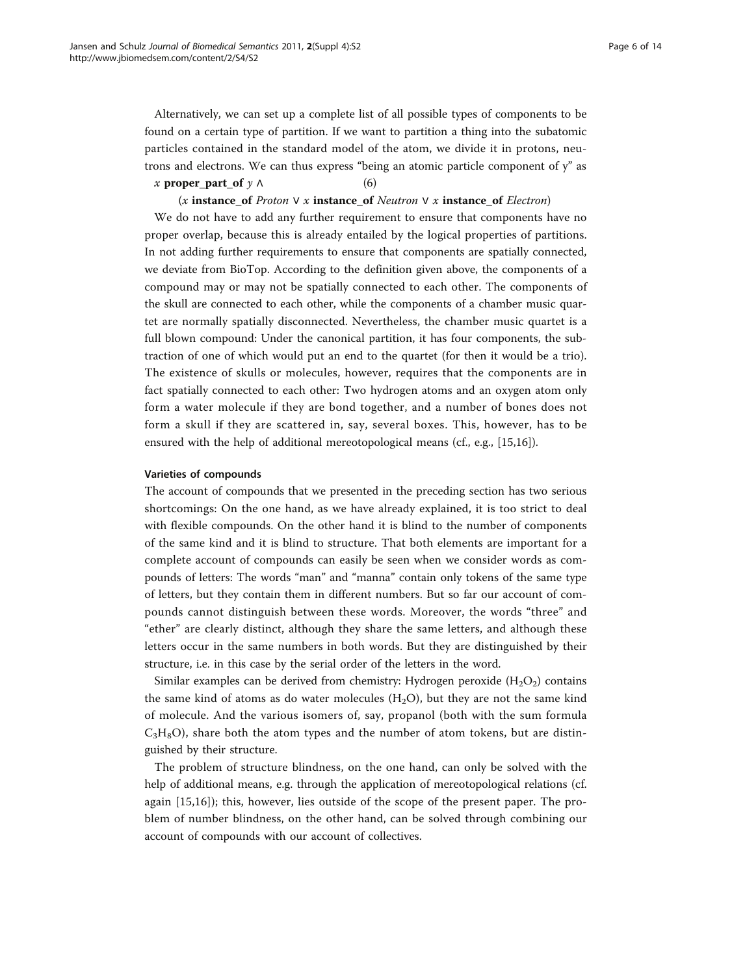Alternatively, we can set up a complete list of all possible types of components to be found on a certain type of partition. If we want to partition a thing into the subatomic particles contained in the standard model of the atom, we divide it in protons, neutrons and electrons. We can thus express "being an atomic particle component of y" as

x proper\_part\_of  $\gamma \wedge$  (6)

#### (<sup>x</sup> instance\_of Proton <sup>∨</sup> <sup>x</sup> instance\_of Neutron <sup>∨</sup> <sup>x</sup> instance\_of Electron)

We do not have to add any further requirement to ensure that components have no proper overlap, because this is already entailed by the logical properties of partitions. In not adding further requirements to ensure that components are spatially connected, we deviate from BioTop. According to the definition given above, the components of a compound may or may not be spatially connected to each other. The components of the skull are connected to each other, while the components of a chamber music quartet are normally spatially disconnected. Nevertheless, the chamber music quartet is a full blown compound: Under the canonical partition, it has four components, the subtraction of one of which would put an end to the quartet (for then it would be a trio). The existence of skulls or molecules, however, requires that the components are in fact spatially connected to each other: Two hydrogen atoms and an oxygen atom only form a water molecule if they are bond together, and a number of bones does not form a skull if they are scattered in, say, several boxes. This, however, has to be ensured with the help of additional mereotopological means (cf., e.g., [\[15,16\]](#page-12-0)).

#### Varieties of compounds

The account of compounds that we presented in the preceding section has two serious shortcomings: On the one hand, as we have already explained, it is too strict to deal with flexible compounds. On the other hand it is blind to the number of components of the same kind and it is blind to structure. That both elements are important for a complete account of compounds can easily be seen when we consider words as compounds of letters: The words "man" and "manna" contain only tokens of the same type of letters, but they contain them in different numbers. But so far our account of compounds cannot distinguish between these words. Moreover, the words "three" and "ether" are clearly distinct, although they share the same letters, and although these letters occur in the same numbers in both words. But they are distinguished by their structure, i.e. in this case by the serial order of the letters in the word.

Similar examples can be derived from chemistry: Hydrogen peroxide  $(H_2O_2)$  contains the same kind of atoms as do water molecules  $(H_2O)$ , but they are not the same kind of molecule. And the various isomers of, say, propanol (both with the sum formula  $C_3H_8O$ , share both the atom types and the number of atom tokens, but are distinguished by their structure.

The problem of structure blindness, on the one hand, can only be solved with the help of additional means, e.g. through the application of mereotopological relations (cf. again [\[15](#page-12-0),[16\]](#page-12-0)); this, however, lies outside of the scope of the present paper. The problem of number blindness, on the other hand, can be solved through combining our account of compounds with our account of collectives.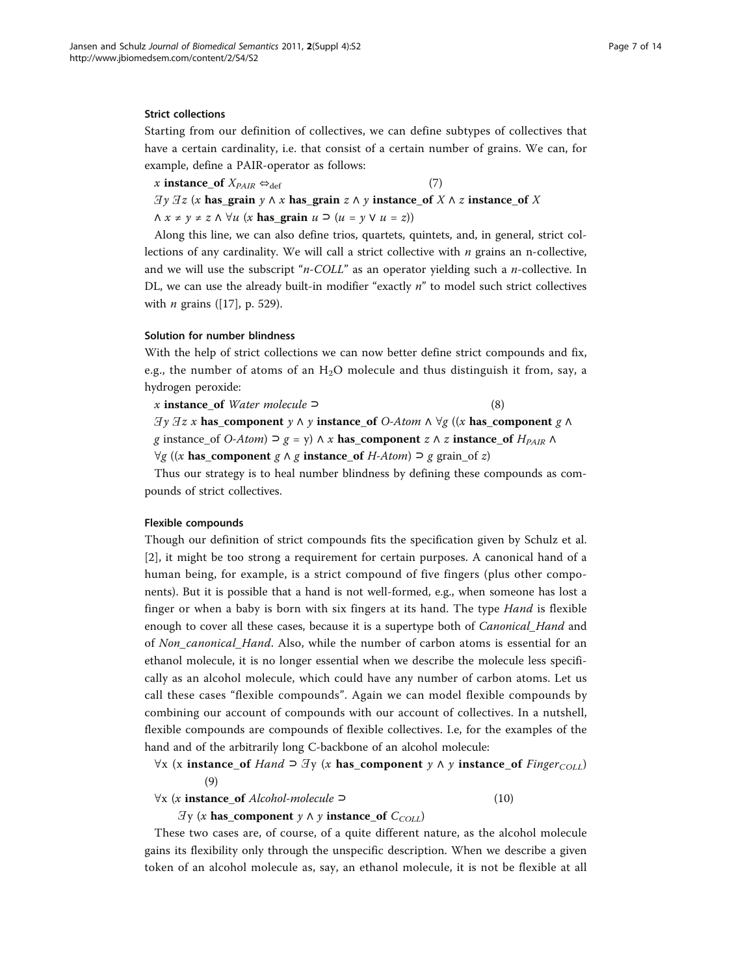### Strict collections

Starting from our definition of collectives, we can define subtypes of collectives that have a certain cardinality, i.e. that consist of a certain number of grains. We can, for example, define a PAIR-operator as follows:

x instance\_of 
$$
X_{PAIR} \Leftrightarrow_{\text{del}}
$$

x instance\_of  $X_{PAIR}$  ⇔def (7)<br>  $\exists y \; \exists z \; (x \text{ has\_grain } y \land x \text{ has\_grain } z \land y \text{ instance\_of } X \land z \text{ instance\_of } X$ 

 $\Lambda x \neq y \neq z \land \forall u$  (x has grain  $u \supset (u = y \lor u = z))$ )

Along this line, we can also define trios, quartets, quintets, and, in general, strict collections of any cardinality. We will call a strict collective with  $n$  grains an n-collective, and we will use the subscript " $n$ -COLL" as an operator yielding such a  $n$ -collective. In DL, we can use the already built-in modifier "exactly  $n$ " to model such strict collectives with *n* grains ([\[17\]](#page-12-0), p. 529).

#### Solution for number blindness

With the help of strict collections we can now better define strict compounds and fix, e.g., the number of atoms of an  $H_2O$  molecule and thus distinguish it from, say, a hydrogen peroxide:

<sup>x</sup> instance\_of Water molecule <sup>⊃</sup> (8) E y <sup>E</sup> z x has\_component <sup>y</sup> <sup>⋀</sup> <sup>y</sup> instance\_of O-Atom ⋀ ∀<sup>g</sup> ((<sup>x</sup> has\_component <sup>g</sup> <sup>⋀</sup> g instance\_of O-Atom)  $\supset g = y$   $\wedge x$  has\_component  $z \wedge z$  instance\_of  $H_{PAIR} \wedge$  $\forall g$  ((x has\_component g ∧ g instance\_of H-Atom) ⊃ g grain\_of z)

Thus our strategy is to heal number blindness by defining these compounds as compounds of strict collectives.

#### Flexible compounds

Though our definition of strict compounds fits the specification given by Schulz et al. [[2\]](#page-12-0), it might be too strong a requirement for certain purposes. A canonical hand of a human being, for example, is a strict compound of five fingers (plus other components). But it is possible that a hand is not well-formed, e.g., when someone has lost a finger or when a baby is born with six fingers at its hand. The type Hand is flexible enough to cover all these cases, because it is a supertype both of *Canonical Hand* and of Non\_canonical\_Hand. Also, while the number of carbon atoms is essential for an ethanol molecule, it is no longer essential when we describe the molecule less specifically as an alcohol molecule, which could have any number of carbon atoms. Let us call these cases "flexible compounds". Again we can model flexible compounds by combining our account of compounds with our account of collectives. In a nutshell, flexible compounds are compounds of flexible collectives. I.e, for the examples of the hand and of the arbitrarily long C-backbone of an alcohol molecule:

 $\forall x$  (x instance\_of *Hand* ⊃  $\exists y$  (x has\_component y  $\wedge$  y instance\_of *Finger*<sub>COLL</sub>) (9)

 $\forall x \ (x \text{ instance of } Alcohol-molecule \supseteq$  (10)

 $\mathcal{F}$ y (x has\_component y  $\wedge$  y instance\_of  $C_{COLL}$ )

These two cases are, of course, of a quite different nature, as the alcohol molecule gains its flexibility only through the unspecific description. When we describe a given token of an alcohol molecule as, say, an ethanol molecule, it is not be flexible at all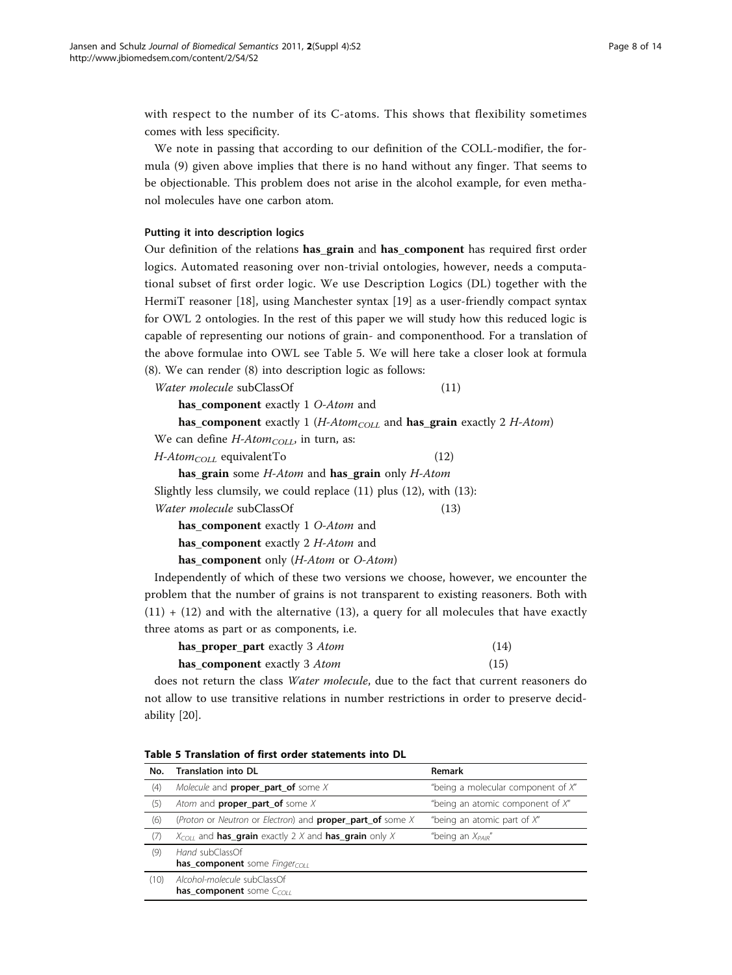with respect to the number of its C-atoms. This shows that flexibility sometimes comes with less specificity.

We note in passing that according to our definition of the COLL-modifier, the formula (9) given above implies that there is no hand without any finger. That seems to be objectionable. This problem does not arise in the alcohol example, for even methanol molecules have one carbon atom.

#### Putting it into description logics

Our definition of the relations has grain and has component has required first order logics. Automated reasoning over non-trivial ontologies, however, needs a computational subset of first order logic. We use Description Logics (DL) together with the HermiT reasoner [\[18\]](#page-13-0), using Manchester syntax [[19\]](#page-13-0) as a user-friendly compact syntax for OWL 2 ontologies. In the rest of this paper we will study how this reduced logic is capable of representing our notions of grain- and componenthood. For a translation of the above formulae into OWL see Table 5. We will here take a closer look at formula (8). We can render (8) into description logic as follows:

Water molecule subClassOf (11)

has component exactly 1 O-Atom and

has\_component exactly 1 ( $H$ -Atom<sub>COLL</sub> and has\_grain exactly 2  $H$ -Atom)

We can define  $H\text{-}Atom_{COLL}$ , in turn, as:

 $H\text{-}Atom_{COLL}$  equivalent To (12)

has grain some H-Atom and has grain only H-Atom Slightly less clumsily, we could replace (11) plus (12), with (13): Water molecule subClassOf (13)

has\_component exactly 1 O-Atom and has component exactly 2 H-Atom and

has\_component only (H-Atom or O-Atom)

Independently of which of these two versions we choose, however, we encounter the problem that the number of grains is not transparent to existing reasoners. Both with  $(11) + (12)$  and with the alternative (13), a query for all molecules that have exactly three atoms as part or as components, i.e.

| has_proper_part exactly 3 Atom | (14) |
|--------------------------------|------|
| has_component exactly 3 Atom   | (15) |

has\_component exactly 3 *Atom* (15)<br>does not return the class *Water molecule*, due to the fact that current reasoners do not allow to use transitive relations in number restrictions in order to preserve decidability [[20](#page-13-0)].

Table 5 Translation of first order statements into DL

| No.  | <b>Translation into DL</b>                                              | Remark                                |
|------|-------------------------------------------------------------------------|---------------------------------------|
| (4)  | Molecule and <b>proper_part_of</b> some $X$                             | "being a molecular component of $X''$ |
| (5)  | Atom and <b>proper_part_of</b> some X                                   | "being an atomic component of $X''$   |
| (6)  | (Proton or Neutron or Electron) and <b>proper_part_of</b> some $X$      | "being an atomic part of $X''$        |
| (7)  | $X_{COII}$ and <b>has_grain</b> exactly 2 X and <b>has_grain</b> only X | "being an X <sub>PAIR</sub> "         |
| (9)  | Hand subClassOf                                                         |                                       |
|      | <b>has_component</b> some <i>Fingercon</i>                              |                                       |
| (10) | Alcohol-molecule subClassOf<br>has component some $C_{COII}$            |                                       |
|      |                                                                         |                                       |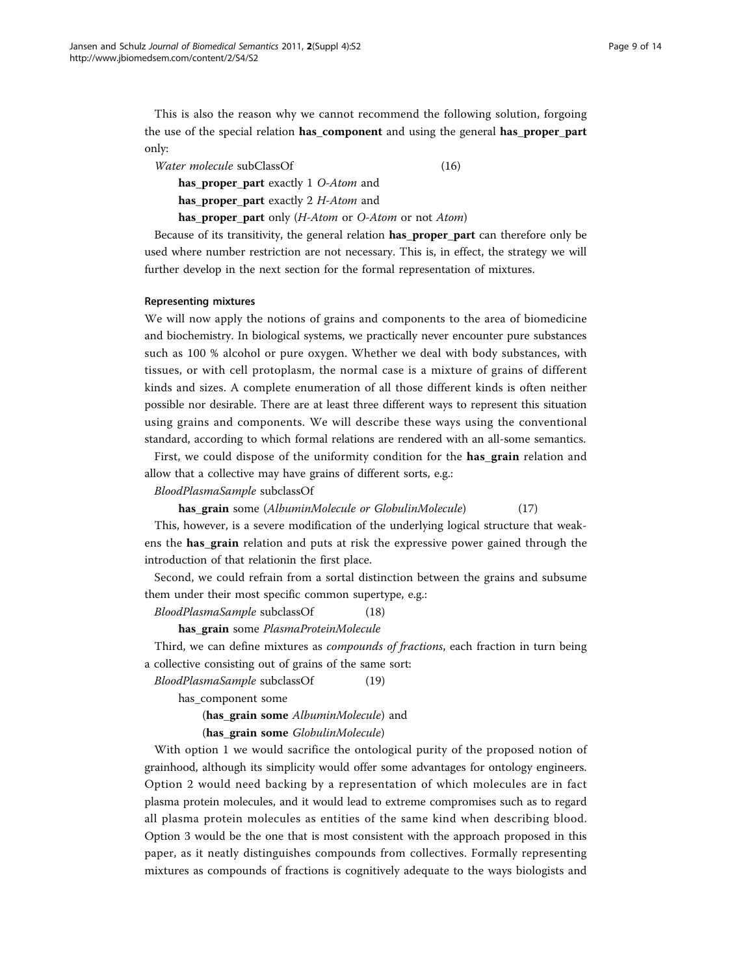This is also the reason why we cannot recommend the following solution, forgoing the use of the special relation has component and using the general has proper part only:

Water molecule subClassOf (16)

has\_proper\_part exactly 1 O-Atom and

has\_proper\_part exactly 2 H-Atom and

has proper part only (H-Atom or O-Atom or not Atom)

Because of its transitivity, the general relation has proper part can therefore only be used where number restriction are not necessary. This is, in effect, the strategy we will further develop in the next section for the formal representation of mixtures.

#### Representing mixtures

We will now apply the notions of grains and components to the area of biomedicine and biochemistry. In biological systems, we practically never encounter pure substances such as 100 % alcohol or pure oxygen. Whether we deal with body substances, with tissues, or with cell protoplasm, the normal case is a mixture of grains of different kinds and sizes. A complete enumeration of all those different kinds is often neither possible nor desirable. There are at least three different ways to represent this situation using grains and components. We will describe these ways using the conventional standard, according to which formal relations are rendered with an all-some semantics.

First, we could dispose of the uniformity condition for the has\_grain relation and allow that a collective may have grains of different sorts, e.g.:

#### BloodPlasmaSample subclassOf

has\_grain some (AlbuminMolecule or GlobulinMolecule) (17)

This, however, is a severe modification of the underlying logical structure that weakens the has grain relation and puts at risk the expressive power gained through the introduction of that relationin the first place.

Second, we could refrain from a sortal distinction between the grains and subsume them under their most specific common supertype, e.g.:

BloodPlasmaSample subclassOf (18)

has\_grain some PlasmaProteinMolecule

Third, we can define mixtures as *compounds of fractions*, each fraction in turn being a collective consisting out of grains of the same sort:

BloodPlasmaSample subclassOf (19)

has\_component some

(has grain some AlbuminMolecule) and

(has\_grain some GlobulinMolecule)

With option 1 we would sacrifice the ontological purity of the proposed notion of grainhood, although its simplicity would offer some advantages for ontology engineers. Option 2 would need backing by a representation of which molecules are in fact plasma protein molecules, and it would lead to extreme compromises such as to regard all plasma protein molecules as entities of the same kind when describing blood. Option 3 would be the one that is most consistent with the approach proposed in this paper, as it neatly distinguishes compounds from collectives. Formally representing mixtures as compounds of fractions is cognitively adequate to the ways biologists and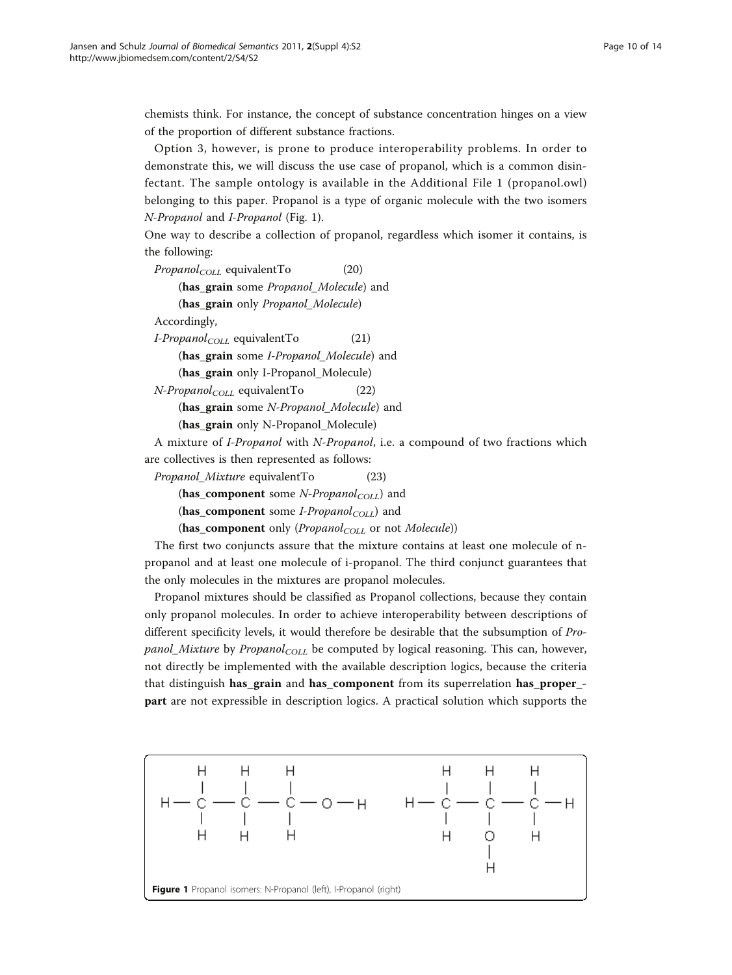chemists think. For instance, the concept of substance concentration hinges on a view of the proportion of different substance fractions.

Option 3, however, is prone to produce interoperability problems. In order to demonstrate this, we will discuss the use case of propanol, which is a common disinfectant. The sample ontology is available in the Additional File [1](#page-12-0) (propanol.owl) belonging to this paper. Propanol is a type of organic molecule with the two isomers N-Propanol and I-Propanol (Fig. 1).

One way to describe a collection of propanol, regardless which isomer it contains, is the following:

 $Propanol_{COLL}$  equivalentTo (20) (has\_grain some Propanol\_Molecule) and

(has grain only Propanol Molecule)

Accordingly,

 $I$ -Propanol<sub>COLL</sub> equivalentTo (21) (has grain some *I-Propanol Molecule*) and

(has\_grain only I-Propanol\_Molecule)<br>conanolcous equivalentTo (22)  $N$ -Propanol $_{COLL}$  equivalentTo

(has\_grain some N-Propanol\_Molecule) and

(has grain only N-Propanol Molecule)

A mixture of I-Propanol with N-Propanol, i.e. a compound of two fractions which are collectives is then represented as follows:

Propanol\_Mixture equivalentTo (23)

(has component some N-Propanol<sub>COLL</sub>) and

(has\_component some  $I$ -Propanol $_{COLL}$ ) and

(has\_component only (*Propanol<sub>COLL</sub>* or not *Molecule*))

The first two conjuncts assure that the mixture contains at least one molecule of npropanol and at least one molecule of i-propanol. The third conjunct guarantees that the only molecules in the mixtures are propanol molecules.

Propanol mixtures should be classified as Propanol collections, because they contain only propanol molecules. In order to achieve interoperability between descriptions of different specificity levels, it would therefore be desirable that the subsumption of Pro $panol\_Mixture$  by  $Propanol_{COLL}$  be computed by logical reasoning. This can, however, not directly be implemented with the available description logics, because the criteria that distinguish has\_grain and has\_component from its superrelation has\_proper\_ part are not expressible in description logics. A practical solution which supports the

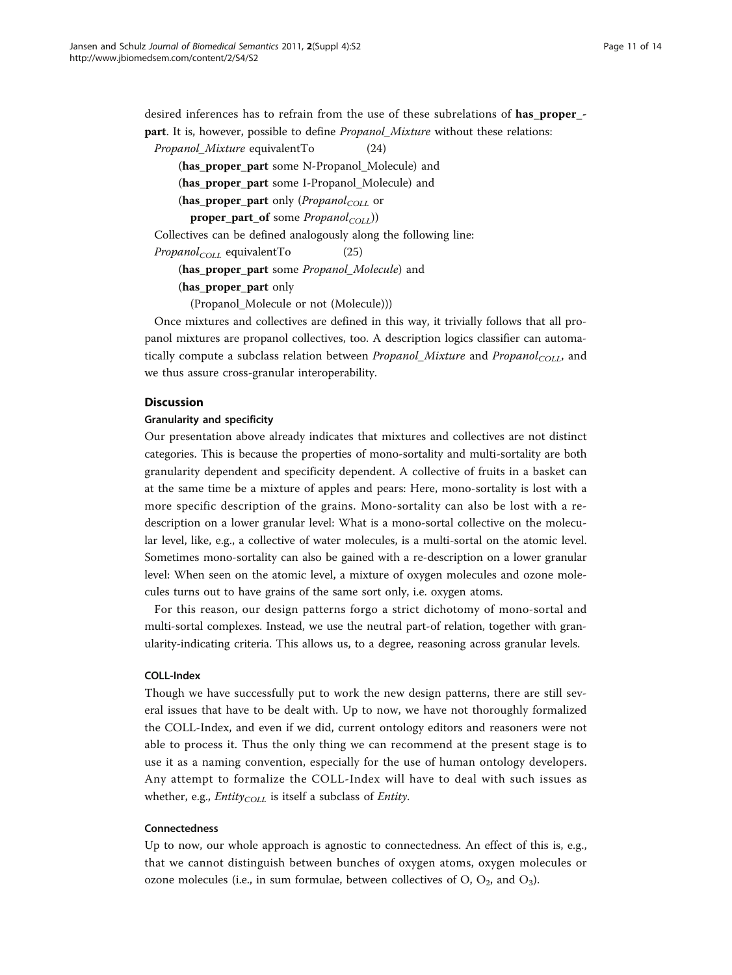desired inferences has to refrain from the use of these subrelations of has proper-

**part**. It is, however, possible to define *Propanol\_Mixture* without these relations:<br>*Propanol Mixture* equivalentTo (24) Propanol Mixture equivalentTo

(has proper part some N-Propanol Molecule) and

(has\_proper\_part some I-Propanol\_Molecule) and

(has proper part only (*Propanol<sub>COLL</sub>* or

**proper\_part\_of** some  $Propanol_{COL}$ ))

Collectives can be defined analogously along the following line:

 $Propanol_{COLL}$  equivalentTo (25)

(has\_proper\_part some Propanol\_Molecule) and

(has\_proper\_part only

(Propanol\_Molecule or not (Molecule)))

Once mixtures and collectives are defined in this way, it trivially follows that all propanol mixtures are propanol collectives, too. A description logics classifier can automatically compute a subclass relation between Propanol\_Mixture and Propanol $_{COLL}$ , and we thus assure cross-granular interoperability.

### **Discussion**

#### Granularity and specificity

Our presentation above already indicates that mixtures and collectives are not distinct categories. This is because the properties of mono-sortality and multi-sortality are both granularity dependent and specificity dependent. A collective of fruits in a basket can at the same time be a mixture of apples and pears: Here, mono-sortality is lost with a more specific description of the grains. Mono-sortality can also be lost with a redescription on a lower granular level: What is a mono-sortal collective on the molecular level, like, e.g., a collective of water molecules, is a multi-sortal on the atomic level. Sometimes mono-sortality can also be gained with a re-description on a lower granular level: When seen on the atomic level, a mixture of oxygen molecules and ozone molecules turns out to have grains of the same sort only, i.e. oxygen atoms.

For this reason, our design patterns forgo a strict dichotomy of mono-sortal and multi-sortal complexes. Instead, we use the neutral part-of relation, together with granularity-indicating criteria. This allows us, to a degree, reasoning across granular levels.

### COLL-Index

Though we have successfully put to work the new design patterns, there are still several issues that have to be dealt with. Up to now, we have not thoroughly formalized the COLL-Index, and even if we did, current ontology editors and reasoners were not able to process it. Thus the only thing we can recommend at the present stage is to use it as a naming convention, especially for the use of human ontology developers. Any attempt to formalize the COLL-Index will have to deal with such issues as whether, e.g.,  $Entity_{COLL}$  is itself a subclass of *Entity*.

### Connectedness

Up to now, our whole approach is agnostic to connectedness. An effect of this is, e.g., that we cannot distinguish between bunches of oxygen atoms, oxygen molecules or ozone molecules (i.e., in sum formulae, between collectives of  $O$ ,  $O_2$ , and  $O_3$ ).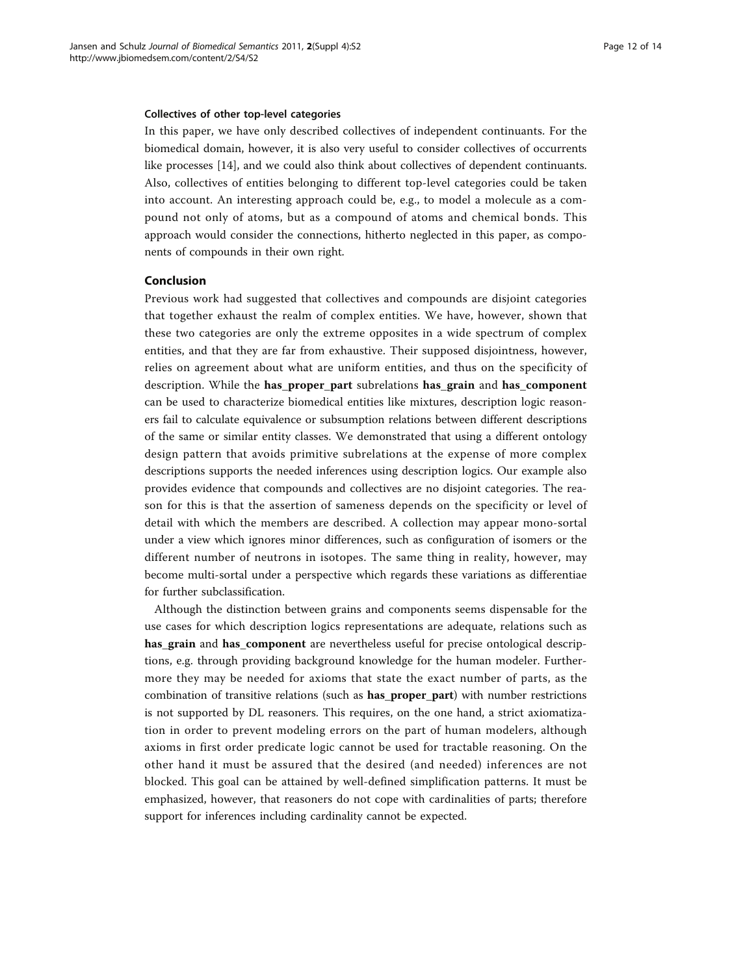#### Collectives of other top-level categories

In this paper, we have only described collectives of independent continuants. For the biomedical domain, however, it is also very useful to consider collectives of occurrents like processes [[14\]](#page-12-0), and we could also think about collectives of dependent continuants. Also, collectives of entities belonging to different top-level categories could be taken into account. An interesting approach could be, e.g., to model a molecule as a compound not only of atoms, but as a compound of atoms and chemical bonds. This approach would consider the connections, hitherto neglected in this paper, as components of compounds in their own right.

#### Conclusion

Previous work had suggested that collectives and compounds are disjoint categories that together exhaust the realm of complex entities. We have, however, shown that these two categories are only the extreme opposites in a wide spectrum of complex entities, and that they are far from exhaustive. Their supposed disjointness, however, relies on agreement about what are uniform entities, and thus on the specificity of description. While the has\_proper\_part subrelations has\_grain and has\_component can be used to characterize biomedical entities like mixtures, description logic reasoners fail to calculate equivalence or subsumption relations between different descriptions of the same or similar entity classes. We demonstrated that using a different ontology design pattern that avoids primitive subrelations at the expense of more complex descriptions supports the needed inferences using description logics. Our example also provides evidence that compounds and collectives are no disjoint categories. The reason for this is that the assertion of sameness depends on the specificity or level of detail with which the members are described. A collection may appear mono-sortal under a view which ignores minor differences, such as configuration of isomers or the different number of neutrons in isotopes. The same thing in reality, however, may become multi-sortal under a perspective which regards these variations as differentiae for further subclassification.

Although the distinction between grains and components seems dispensable for the use cases for which description logics representations are adequate, relations such as has grain and has component are nevertheless useful for precise ontological descriptions, e.g. through providing background knowledge for the human modeler. Furthermore they may be needed for axioms that state the exact number of parts, as the combination of transitive relations (such as **has\_proper\_part**) with number restrictions is not supported by DL reasoners. This requires, on the one hand, a strict axiomatization in order to prevent modeling errors on the part of human modelers, although axioms in first order predicate logic cannot be used for tractable reasoning. On the other hand it must be assured that the desired (and needed) inferences are not blocked. This goal can be attained by well-defined simplification patterns. It must be emphasized, however, that reasoners do not cope with cardinalities of parts; therefore support for inferences including cardinality cannot be expected.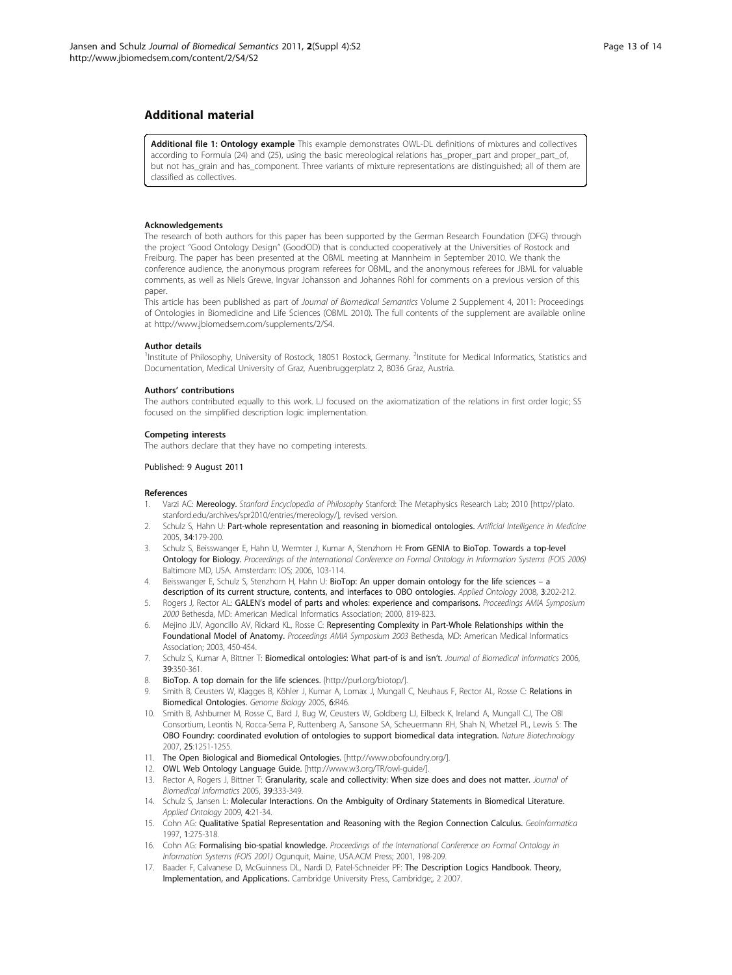## <span id="page-12-0"></span>Additional material

[Additional file 1: O](http://www.biomedcentral.com/content/supplementary/2041-1480-2-S4-S2-S1.owl)ntology example This example demonstrates OWL-DL definitions of mixtures and collectives according to Formula (24) and (25), using the basic mereological relations has\_proper\_part and proper\_part\_of, but not has grain and has component. Three variants of mixture representations are distinguished; all of them are classified as collectives.

#### **Acknowledgements**

The research of both authors for this paper has been supported by the German Research Foundation (DFG) through the project "Good Ontology Design" (GoodOD) that is conducted cooperatively at the Universities of Rostock and Freiburg. The paper has been presented at the OBML meeting at Mannheim in September 2010. We thank the conference audience, the anonymous program referees for OBML, and the anonymous referees for JBML for valuable comments, as well as Niels Grewe, Ingvar Johansson and Johannes Röhl for comments on a previous version of this paper.

This article has been published as part of Journal of Biomedical Semantics Volume 2 Supplement 4, 2011: Proceedings of Ontologies in Biomedicine and Life Sciences (OBML 2010). The full contents of the supplement are available online at [http://www.jbiomedsem.com/supplements/2/S4.](http://www.jbiomedsem.com/supplements/2/S4)

#### Author details

<sup>1</sup>Institute of Philosophy, University of Rostock, 18051 Rostock, Germany. <sup>2</sup>Institute for Medical Informatics, Statistics and Documentation, Medical University of Graz, Auenbruggerplatz 2, 8036 Graz, Austria.

#### Authors' contributions

The authors contributed equally to this work. LJ focused on the axiomatization of the relations in first order logic; SS focused on the simplified description logic implementation.

#### Competing interests

The authors declare that they have no competing interests.

#### Published: 9 August 2011

#### References

- 1. Varzi AC: Mereology. Stanford Encyclopedia of Philosophy Stanford: The Metaphysics Research Lab; 2010 [[http://plato.](http://plato.stanford.edu/archives/spr2010/entries/mereology/) [stanford.edu/archives/spr2010/entries/mereology/](http://plato.stanford.edu/archives/spr2010/entries/mereology/)], revised version.
- Schulz S, Hahn U: [Part-whole representation and reasoning in biomedical ontologies.](http://www.ncbi.nlm.nih.gov/pubmed/15993045?dopt=Abstract) Artificial Intelligence in Medicine 2005, 34:179-200.
- 3. Schulz S, Beisswanger E, Hahn U, Wermter J, Kumar A, Stenzhorn H: From GENIA to BioTop. Towards a top-level Ontology for Biology. Proceedings of the International Conference on Formal Ontology in Information Systems (FOIS 2006) Baltimore MD, USA. Amsterdam: IOS; 2006, 103-114.
- Beisswanger E, Schulz S, Stenzhorn H, Hahn U: BioTop: An upper domain ontology for the life sciences a description of its current structure, contents, and interfaces to OBO ontologies. Applied Ontology 2008, 3:202-212.
- 5. Rogers J, Rector AL: GALEN's model of parts and wholes: experience and comparisons. Proceedings AMIA Symposium 2000 Bethesda, MD: American Medical Informatics Association; 2000, 819-823.
- 6. Mejino JLV, Agoncillo AV, Rickard KL, Rosse C: Representing Complexity in Part-Whole Relationships within the Foundational Model of Anatomy. Proceedings AMIA Symposium 2003 Bethesda, MD: American Medical Informatics Association; 2003, 450-454.
- 7. Schulz S, Kumar A, Bittner T: [Biomedical ontologies: What part-of is and isn](http://www.ncbi.nlm.nih.gov/pubmed/16442850?dopt=Abstract)'t. Journal of Biomedical Informatics 2006, 39:350-361.
- 8. BioTop. A top domain for the life sciences. [\[http://purl.org/biotop/\]](http://purl.org/biotop/).
- 9. Smith B, Ceusters W, Klagges B, Köhler J, Kumar A, Lomax J, Mungall C, Neuhaus F, Rector AL, Rosse C: [Relations in](http://www.ncbi.nlm.nih.gov/pubmed/15892874?dopt=Abstract) [Biomedical Ontologies.](http://www.ncbi.nlm.nih.gov/pubmed/15892874?dopt=Abstract) Genome Biology 2005, 6:R46.
- 10. Smith B, Ashburner M, Rosse C, Bard J, Bug W, Ceusters W, Goldberg LJ, Eilbeck K, Ireland A, Mungall CJ, The OBI Consortium, Leontis N, Rocca-Serra P, Ruttenberg A, Sansone SA, Scheuermann RH, Shah N, Whetzel PL, Lewis S: [The](http://www.ncbi.nlm.nih.gov/pubmed/17989687?dopt=Abstract) [OBO Foundry: coordinated evolution of ontologies to support biomedical data integration.](http://www.ncbi.nlm.nih.gov/pubmed/17989687?dopt=Abstract) Nature Biotechnology 2007, 25:1251-1255.
- 11. The Open Biological and Biomedical Ontologies. [\[http://www.obofoundry.org/](http://www.obofoundry.org/)].
- 12. OWL Web Ontology Language Guide. [<http://www.w3.org/TR/owl-guide/>].
- 13. Rector A, Rogers J, Bittner T: [Granularity, scale and collectivity: When size does and does not matter.](http://www.ncbi.nlm.nih.gov/pubmed/16515892?dopt=Abstract) Journal of Biomedical Informatics 2005, 39:333-349.
- 14. Schulz S, Jansen L: Molecular Interactions. On the Ambiguity of Ordinary Statements in Biomedical Literature. Applied Ontology 2009, 4:21-34.
- 15. Cohn AG: Qualitative Spatial Representation and Reasoning with the Region Connection Calculus. GeoInformatica 1997, 1:275-318.
- 16. Cohn AG: Formalising bio-spatial knowledge. Proceedings of the International Conference on Formal Ontology in Information Systems (FOIS 2001) Ogunquit, Maine, USA.ACM Press; 2001, 198-209.
- 17. Baader F, Calvanese D, McGuinness DL, Nardi D, Patel-Schneider PF: The Description Logics Handbook. Theory, Implementation, and Applications. Cambridge University Press, Cambridge;, 2 2007.